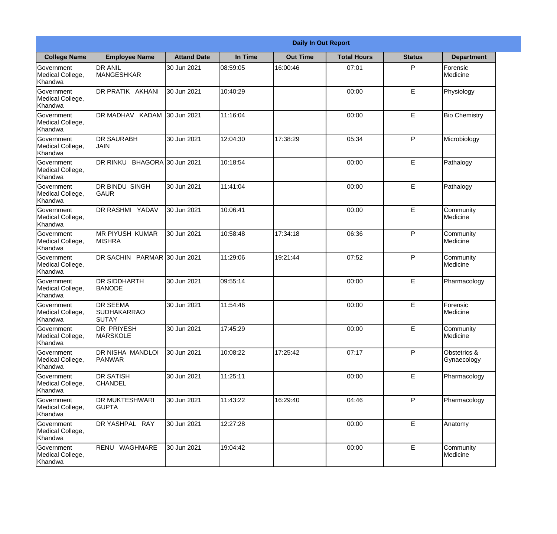|                                           | <b>Daily In Out Report</b>                            |                     |          |                 |                    |               |                             |
|-------------------------------------------|-------------------------------------------------------|---------------------|----------|-----------------|--------------------|---------------|-----------------------------|
| <b>College Name</b>                       | <b>Employee Name</b>                                  | <b>Attand Date</b>  | In Time  | <b>Out Time</b> | <b>Total Hours</b> | <b>Status</b> | <b>Department</b>           |
| Government<br>Medical College,<br>Khandwa | <b>DR ANIL</b><br>MANGESHKAR                          | 30 Jun 2021         | 08:59:05 | 16:00:46        | 07:01              | P             | Forensic<br>Medicine        |
| Government<br>Medical College,<br>Khandwa | DR PRATIK AKHANI                                      | 30 Jun 2021         | 10:40:29 |                 | 00:00              | E             | Physiology                  |
| Government<br>Medical College,<br>Khandwa | DR MADHAV KADAM                                       | 30 Jun 2021         | 11:16:04 |                 | 00:00              | E             | <b>Bio Chemistry</b>        |
| Government<br>Medical College,<br>Khandwa | <b>DR SAURABH</b><br><b>JAIN</b>                      | 30 Jun 2021         | 12:04:30 | 17:38:29        | 05:34              | P             | Microbiology                |
| Government<br>Medical College,<br>Khandwa | <b>DR RINKU</b>                                       | BHAGORA 30 Jun 2021 | 10:18:54 |                 | 00:00              | E             | Pathalogy                   |
| Government<br>Medical College,<br>Khandwa | DR BINDU SINGH<br><b>GAUR</b>                         | 30 Jun 2021         | 11:41:04 |                 | 00:00              | E             | Pathalogy                   |
| Government<br>Medical College,<br>Khandwa | DR RASHMI YADAV                                       | 30 Jun 2021         | 10:06:41 |                 | 00:00              | E             | Community<br>Medicine       |
| Government<br>Medical College,<br>Khandwa | <b>MR PIYUSH KUMAR</b><br><b>MISHRA</b>               | 30 Jun 2021         | 10:58:48 | 17:34:18        | 06:36              | P             | Community<br>Medicine       |
| Government<br>Medical College,<br>Khandwa | DR SACHIN PARMAR 30 Jun 2021                          |                     | 11:29:06 | 19:21:44        | 07:52              | $\mathsf{P}$  | Community<br>Medicine       |
| Government<br>Medical College,<br>Khandwa | <b>DR SIDDHARTH</b><br><b>BANODE</b>                  | 30 Jun 2021         | 09:55:14 |                 | 00:00              | E             | Pharmacology                |
| Government<br>Medical College,<br>Khandwa | <b>DR SEEMA</b><br><b>SUDHAKARRAO</b><br><b>SUTAY</b> | 30 Jun 2021         | 11:54:46 |                 | 00:00              | E             | Forensic<br>Medicine        |
| Government<br>Medical College,<br>Khandwa | DR PRIYESH<br><b>MARSKOLE</b>                         | 30 Jun 2021         | 17:45:29 |                 | 00:00              | E             | Community<br>Medicine       |
| Government<br>Medical College,<br>Khandwa | DR NISHA MANDLOI<br>PANWAR                            | 30 Jun 2021         | 10:08:22 | 17:25:42        | 07:17              | P             | Obstetrics &<br>Gynaecology |
| Government<br>Medical College,<br>Khandwa | <b>DR SATISH</b><br><b>CHANDEL</b>                    | 30 Jun 2021         | 11:25:11 |                 | 00:00              | E             | Pharmacology                |
| Government<br>Medical College,<br>Khandwa | DR MUKTESHWARI<br><b>GUPTA</b>                        | 30 Jun 2021         | 11:43:22 | 16:29:40        | 04:46              | P             | Pharmacology                |
| Government<br>Medical College,<br>Khandwa | DR YASHPAL RAY                                        | 30 Jun 2021         | 12:27:28 |                 | 00:00              | E             | Anatomy                     |
| Government<br>Medical College,<br>Khandwa | RENU WAGHMARE                                         | 30 Jun 2021         | 19:04:42 |                 | 00:00              | E             | Community<br>Medicine       |